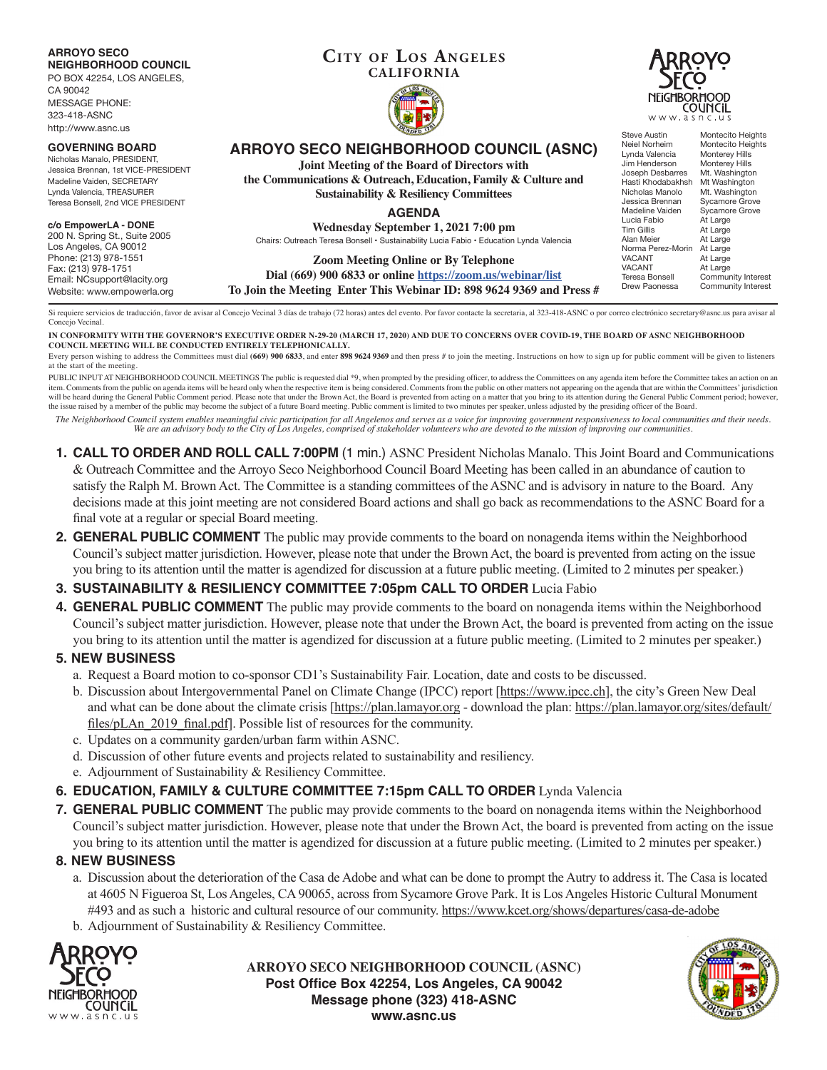### **ARROYO SECO NEIGHBORHOOD COUNCIL**

PO BOX 42254, LOS ANGELES,

CA 90042 MESSAGE PHONE: 323-418-ASNC http://www.asnc.us

#### **GOVERNING BOARD**

Nicholas Manalo, PRESIDENT, Jessica Brennan, 1st VICE-PRESIDENT Madeline Vaiden, SECRETARY Lynda Valencia, TREASURER Teresa Bonsell, 2nd VICE PRESIDENT

#### **c/o EmpowerLA - DONE**

200 N. Spring St., Suite 2005 Los Angeles, CA 90012 Phone: (213) 978-1551 Fax: (213) 978-1751 Email: NCsupport@lacity.org Website: www.empowerla.org

### **Cit y of Los Angeles CALIFORNIA**





## **ARROYO SECO NEIGHBORHOOD COUNCIL (ASNC)**

**Joint Meeting of the Board of Directors with**

**the Communications & Outreach, Education, Family & Culture and Sustainability & Resiliency Committees**

**AGENDA**

**Wednesday September 1, 2021 7:00 pm** Chairs: Outreach Teresa Bonsell • Sustainability Lucia Fabio • Education Lynda Valencia

**Zoom Meeting Online or By Telephone**

**Dial (669) 900 6833 or online https://zoom.us/webinar/list To Join the Meeting Enter This Webinar ID: 898 9624 9369 and Press #**

Hasti Khodabakhsh<br>Nicholas Manolo Nicholas Manolo Mt. Washington<br>Jessica Brennan Sycamore Grove Madeline Vaiden<br>I ucia Fabio Lucia Fabio At Large<br>Tim Gillis At Large Alan Meier At Large<br>Norma Perez-Morin At Large Norma Perez-Morin<br>VACANT VACANT At Large<br>VACANT At Large VACANT At Large<br>Teresa Bonsell Commun

Steve Austin Montecito Heights<br>Neiel Norheim Montecito Heights Montecito Heights<br>Monterey Hills Lynda Valencia Monterey Hills<br>Jim Henderson Monterey Hills Jim Henderson Monterey Hills<br>Joseph Desbarres Mt. Washington Joseph Desbarres Mt. Washington<br>Hasti Khodabakhsh Mt Washington Sycamore Grove<br>Sycamore Grove At Large<br>At Large Teresa Bonsell Community Interest<br>Drew Paonessa Community Interest Community Interest

Si requiere servicios de traducción, favor de avisar al Concejo Vecinal 3 días de trabajo (72 horas) antes del evento. Por favor contacte la secretaria, al 323-418-ASNC o por correo electrónico secretary@asnc.us para avisa Concejo Vecinal.

**IN CONFORMITY WITH THE GOVERNOR'S EXECUTIVE ORDER N-29-20 (MARCH 17, 2020) AND DUE TO CONCERNS OVER COVID-19, THE BOARD OF ASNC NEIGHBORHOOD COUNCIL MEETING WILL BE CONDUCTED ENTIRELY TELEPHONICALLY.**

Every person wishing to address the Committees must dial (669) 900 6833, and enter 898 9624 9369 and then press # to join the meeting. Instructions on how to sign up for public comment will be given to listeners at the start of the meeting.

PUBLIC INPUT AT NEIGHBORHOOD COUNCIL MEETINGS The public is requested dial \*9, when prompted by the presiding officer, to address the Committees on any agenda item before the Committee takes an action on an item. Comments from the public on agenda items will be heard only when the respective item is being considered. Comments from the public on other matters not appearing on the agenda that are within the Committees' jurisdic will be heard during the General Public Comment period. Please note that under the Brown Act, the Board is prevented from acting on a matter that you bring to its attention during the General Public Comment period; however the issue raised by a member of the public may become the subject of a future Board meeting. Public comment is limited to two minutes per speaker, unless adjusted by the presiding officer of the Board.

*The Neighborhood Council system enables meaningful civic participation for all Angelenos and serves as a voice for improving government responsiveness to local communities and their needs. We are an advisory body to the City of Los Angeles, comprised of stakeholder volunteers who are devoted to the mission of improving our communities.*

- **1. CALL TO ORDER AND ROLL CALL 7:00PM** (1 min.) ASNC President Nicholas Manalo. This Joint Board and Communications & Outreach Committee and the Arroyo Seco Neighborhood Council Board Meeting has been called in an abundance of caution to satisfy the Ralph M. Brown Act. The Committee is a standing committees of the ASNC and is advisory in nature to the Board. Any decisions made at this joint meeting are not considered Board actions and shall go back as recommendations to the ASNC Board for a final vote at a regular or special Board meeting.
- **2. GENERAL PUBLIC COMMENT** The public may provide comments to the board on nonagenda items within the Neighborhood Council's subject matter jurisdiction. However, please note that under the Brown Act, the board is prevented from acting on the issue you bring to its attention until the matter is agendized for discussion at a future public meeting. (Limited to 2 minutes per speaker.)

# **3. SUSTAINABILITY & RESILIENCY COMMITTEE 7:05pm CALL TO ORDER** Lucia Fabio

**4. GENERAL PUBLIC COMMENT** The public may provide comments to the board on nonagenda items within the Neighborhood Council's subject matter jurisdiction. However, please note that under the Brown Act, the board is prevented from acting on the issue you bring to its attention until the matter is agendized for discussion at a future public meeting. (Limited to 2 minutes per speaker.)

# **5. NEW BUSINESS**

- a. Request a Board motion to co-sponsor CD1's Sustainability Fair. Location, date and costs to be discussed.
- b. Discussion about Intergovernmental Panel on Climate Change (IPCC) report [https://www.ipcc.ch], the city's Green New Deal and what can be done about the climate crisis [https://plan.lamayor.org - download the plan: https://plan.lamayor.org/sites/default/ files/pLAn\_2019\_final.pdf]. Possible list of resources for the community.
- c. Updates on a community garden/urban farm within ASNC.
- d. Discussion of other future events and projects related to sustainability and resiliency.
- e. Adjournment of Sustainability & Resiliency Committee.

**6. EDUCATION, FAMILY & CULTURE COMMITTEE 7:15pm CALL TO ORDER** Lynda Valencia

**7. GENERAL PUBLIC COMMENT** The public may provide comments to the board on nonagenda items within the Neighborhood Council's subject matter jurisdiction. However, please note that under the Brown Act, the board is prevented from acting on the issue you bring to its attention until the matter is agendized for discussion at a future public meeting. (Limited to 2 minutes per speaker.)

## **8. NEW BUSINESS**

- a. Discussion about the deterioration of the Casa de Adobe and what can be done to prompt the Autry to address it. The Casa is located at 4605 N Figueroa St, Los Angeles, CA 90065, across from Sycamore Grove Park. It is Los Angeles Historic Cultural Monument #493 and as such a historic and cultural resource of our community. https://www.kcet.org/shows/departures/casa-de-adobe
- b. Adjournment of Sustainability & Resiliency Committee.



**ARROYO SECO NEIGHBORHOOD COUNCIL (ASNC) Post Office Box 42254, Los Angeles, CA 90042 Message phone (323) 418-ASNC www.asnc.us**

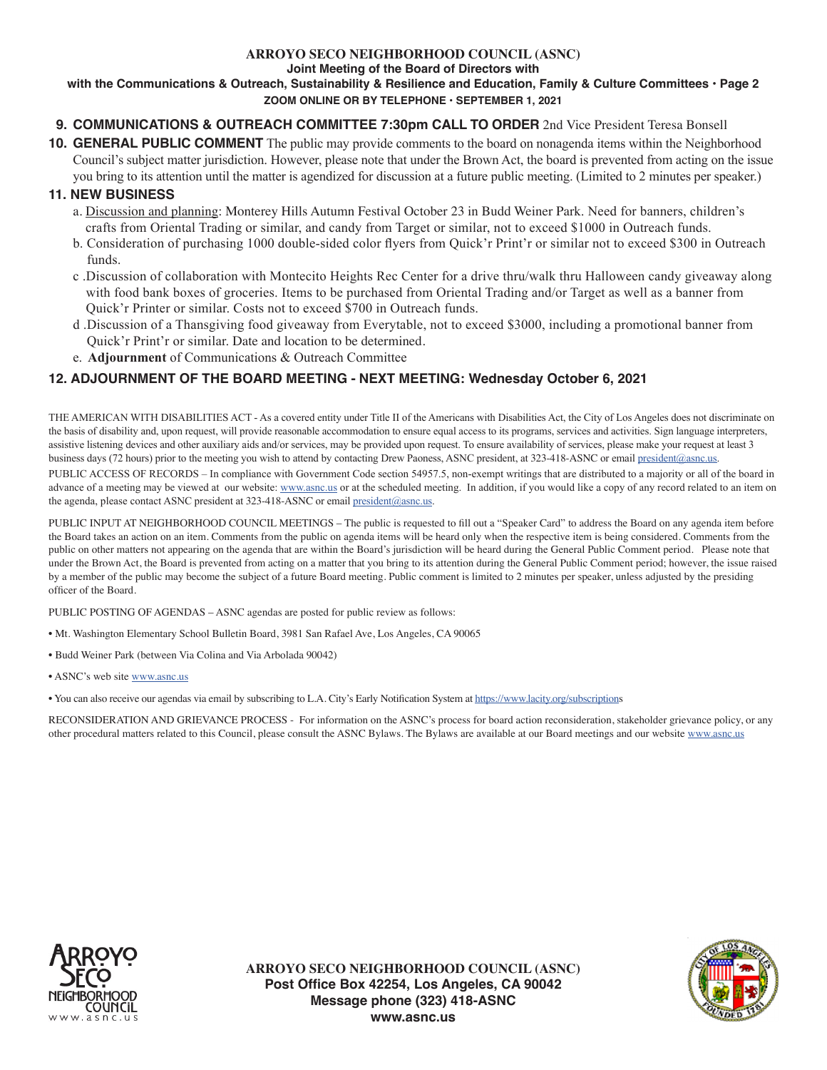## **ARROYO SECO NEIGHBORHOOD COUNCIL (ASNC)**

**Joint Meeting of the Board of Directors with**

### **with the Communications & Outreach, Sustainability & Resilience and Education, Family & Culture Committees • Page 2 ZOOM ONLINE OR BY TELEPHONE • SEPTEMBER 1, 2021**

## **9. COMMUNICATIONS & OUTREACH COMMITTEE 7:30pm CALL TO ORDER** 2nd Vice President Teresa Bonsell

**10. GENERAL PUBLIC COMMENT** The public may provide comments to the board on nonagenda items within the Neighborhood Council's subject matter jurisdiction. However, please note that under the Brown Act, the board is prevented from acting on the issue you bring to its attention until the matter is agendized for discussion at a future public meeting. (Limited to 2 minutes per speaker.)

## **11. NEW BUSINESS**

- a. Discussion and planning: Monterey Hills Autumn Festival October 23 in Budd Weiner Park. Need for banners, children's crafts from Oriental Trading or similar, and candy from Target or similar, not to exceed \$1000 in Outreach funds.
- b. Consideration of purchasing 1000 double-sided color flyers from Quick'r Print'r or similar not to exceed \$300 in Outreach funds.
- c .Discussion of collaboration with Montecito Heights Rec Center for a drive thru/walk thru Halloween candy giveaway along with food bank boxes of groceries. Items to be purchased from Oriental Trading and/or Target as well as a banner from Quick'r Printer or similar. Costs not to exceed \$700 in Outreach funds.
- d .Discussion of a Thansgiving food giveaway from Everytable, not to exceed \$3000, including a promotional banner from Quick'r Print'r or similar. Date and location to be determined.
- e. **Adjournment** of Communications & Outreach Committee

## **12. ADJOURNMENT OF THE BOARD MEETING - NEXT MEETING: Wednesday October 6, 2021**

THE AMERICAN WITH DISABILITIES ACT - As a covered entity under Title II of the Americans with Disabilities Act, the City of Los Angeles does not discriminate on the basis of disability and, upon request, will provide reasonable accommodation to ensure equal access to its programs, services and activities. Sign language interpreters, assistive listening devices and other auxiliary aids and/or services, may be provided upon request. To ensure availability of services, please make your request at least 3 business days (72 hours) prior to the meeting you wish to attend by contacting Drew Paoness, ASNC president, at 323-418-ASNC or email president@asnc.us. PUBLIC ACCESS OF RECORDS – In compliance with Government Code section 54957.5, non-exempt writings that are distributed to a majority or all of the board in advance of a meeting may be viewed at our website: www.asnc.us or at the scheduled meeting. In addition, if you would like a copy of any record related to an item on the agenda, please contact ASNC president at 323-418-ASNC or email president@asnc.us.

PUBLIC INPUT AT NEIGHBORHOOD COUNCIL MEETINGS – The public is requested to fill out a "Speaker Card" to address the Board on any agenda item before the Board takes an action on an item. Comments from the public on agenda items will be heard only when the respective item is being considered. Comments from the public on other matters not appearing on the agenda that are within the Board's jurisdiction will be heard during the General Public Comment period. Please note that under the Brown Act, the Board is prevented from acting on a matter that you bring to its attention during the General Public Comment period; however, the issue raised by a member of the public may become the subject of a future Board meeting. Public comment is limited to 2 minutes per speaker, unless adjusted by the presiding officer of the Board.

PUBLIC POSTING OF AGENDAS – ASNC agendas are posted for public review as follows:

- Mt. Washington Elementary School Bulletin Board, 3981 San Rafael Ave, Los Angeles, CA 90065
- Budd Weiner Park (between Via Colina and Via Arbolada 90042)
- ASNC's web site www.asnc.us
- You can also receive our agendas via email by subscribing to L.A. City's Early Notification System at https://www.lacity.org/subscriptions

RECONSIDERATION AND GRIEVANCE PROCESS - For information on the ASNC's process for board action reconsideration, stakeholder grievance policy, or any other procedural matters related to this Council, please consult the ASNC Bylaws. The Bylaws are available at our Board meetings and our website www.asnc.us



**ARROYO SECO NEIGHBORHOOD COUNCIL (ASNC) Post Office Box 42254, Los Angeles, CA 90042 Message phone (323) 418-ASNC www.asnc.us**